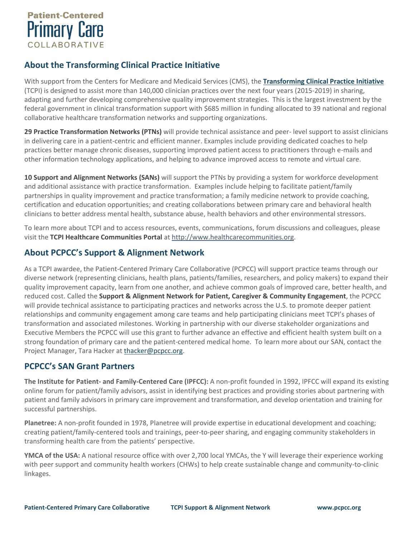

## **About the Transforming Clinical Practice Initiative**

With support from the Centers for Medicare and Medicaid Services (CMS), the **[Transforming Clinical Practice Initiative](https://www.cms.gov/Newsroom/MediaReleaseDatabase/Fact-sheets/2015-Fact-sheets-items/2015-09-29.html)** (TCPI) is designed to assist more than 140,000 clinician practices over the next four years (2015-2019) in sharing, adapting and further developing comprehensive quality improvement strategies. This is the largest investment by the federal government in clinical transformation support with \$685 million in funding allocated to 39 national and regional collaborative healthcare transformation networks and supporting organizations.

**29 Practice Transformation Networks (PTNs)** will provide technical assistance and peer- level support to assist clinicians in delivering care in a patient-centric and efficient manner. Examples include providing dedicated coaches to help practices better manage chronic diseases, supporting improved patient access to practitioners through e-mails and other information technology applications, and helping to advance improved access to remote and virtual care.

**10 Support and Alignment Networks (SANs)** will support the PTNs by providing a system for workforce development and additional assistance with practice transformation. Examples include helping to facilitate patient/family partnerships in quality improvement and practice transformation; a family medicine network to provide coaching, certification and education opportunities; and creating collaborations between primary care and behavioral health clinicians to better address mental health, substance abuse, health behaviors and other environmental stressors.

To learn more about TCPI and to access resources, events, communications, forum discussions and colleagues, please visit the **TCPI Healthcare Communities Portal** at [http://www.healthcarecommunities.org.](http://www.healthcarecommunities.org/)

## **About PCPCC's Support & Alignment Network**

As a TCPI awardee, the Patient-Centered Primary Care Collaborative (PCPCC) will support practice teams through our diverse network (representing clinicians, health plans, patients/families, researchers, and policy makers) to expand their quality improvement capacity, learn from one another, and achieve common goals of improved care, better health, and reduced cost. Called the **Support & Alignment Network for Patient, Caregiver & Community Engagement**, the PCPCC will provide technical assistance to participating practices and networks across the U.S. to promote deeper patient relationships and community engagement among care teams and help participating clinicians meet TCPI's phases of transformation and associated milestones. Working in partnership with our diverse stakeholder organizations and Executive Members the PCPCC will use this grant to further advance an effective and efficient health system built on a strong foundation of primary care and the patient-centered medical home. To learn more about our SAN, contact the Project Manager, Tara Hacker at [thacker@pcpcc.org.](mailto:thacker@pcpcc.org)

## **PCPCC's SAN Grant Partners**

**The Institute for Patient- and Family-Centered Care (IPFCC):** A non-profit founded in 1992, IPFCC will expand its existing online forum for patient/family advisors, assist in identifying best practices and providing stories about partnering with patient and family advisors in primary care improvement and transformation, and develop orientation and training for successful partnerships.

**Planetree:** A non-profit founded in 1978, Planetree will provide expertise in educational development and coaching; creating patient/family-centered tools and trainings, peer-to-peer sharing, and engaging community stakeholders in transforming health care from the patients' perspective.

**YMCA of the USA:** A national resource office with over 2,700 local YMCAs, the Y will leverage their experience working with peer support and community health workers (CHWs) to help create sustainable change and community-to-clinic linkages.